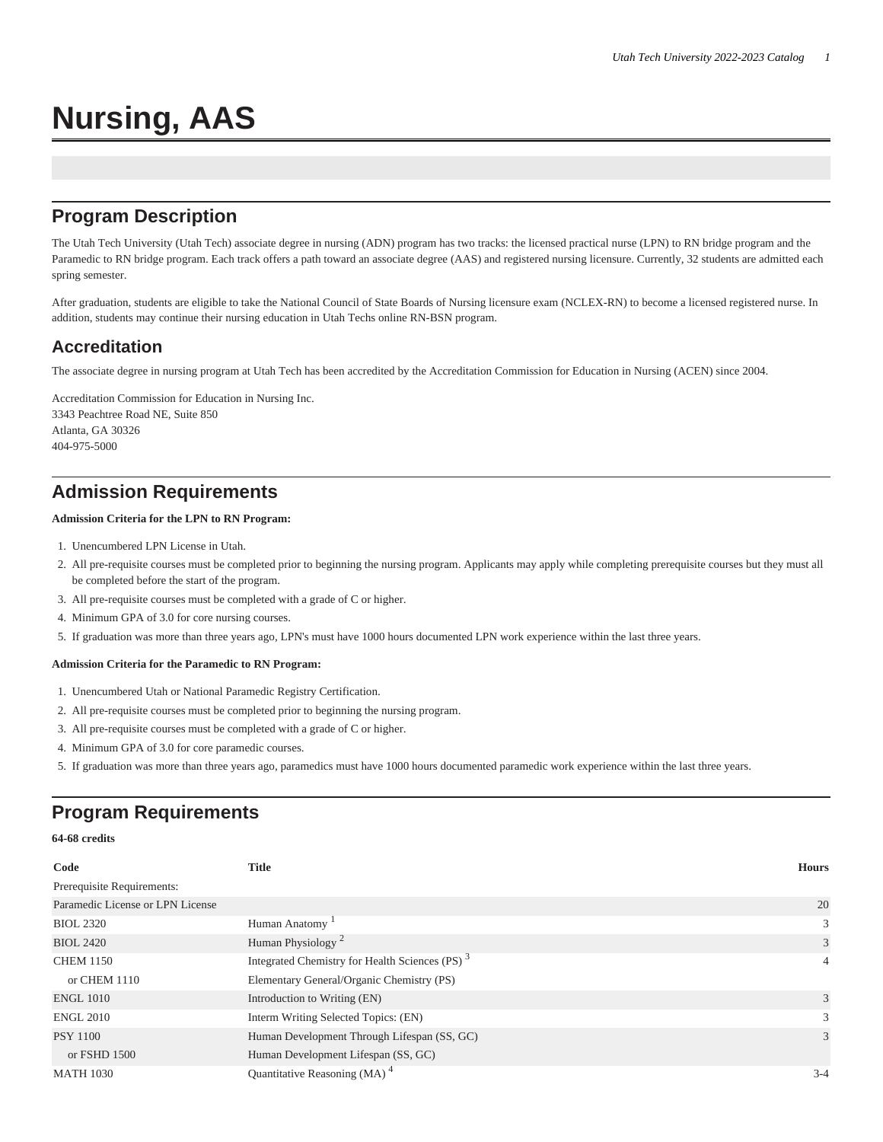# **Nursing, AAS**

## **Program Description**

The Utah Tech University (Utah Tech) associate degree in nursing (ADN) program has two tracks: the licensed practical nurse (LPN) to RN bridge program and the Paramedic to RN bridge program. Each track offers a path toward an associate degree (AAS) and registered nursing licensure. Currently, 32 students are admitted each spring semester.

After graduation, students are eligible to take the National Council of State Boards of Nursing licensure exam (NCLEX-RN) to become a licensed registered nurse. In addition, students may continue their nursing education in Utah Techs online RN-BSN program.

### **Accreditation**

The associate degree in nursing program at Utah Tech has been accredited by the Accreditation Commission for Education in Nursing (ACEN) since 2004.

Accreditation Commission for Education in Nursing Inc. 3343 Peachtree Road NE, Suite 850 Atlanta, GA 30326 404-975-5000

### **Admission Requirements**

#### **Admission Criteria for the LPN to RN Program:**

- 1. Unencumbered LPN License in Utah.
- 2. All pre-requisite courses must be completed prior to beginning the nursing program. Applicants may apply while completing prerequisite courses but they must all be completed before the start of the program.
- 3. All pre-requisite courses must be completed with a grade of C or higher.
- 4. Minimum GPA of 3.0 for core nursing courses.
- 5. If graduation was more than three years ago, LPN's must have 1000 hours documented LPN work experience within the last three years.

#### **Admission Criteria for the Paramedic to RN Program:**

- 1. Unencumbered Utah or National Paramedic Registry Certification.
- 2. All pre-requisite courses must be completed prior to beginning the nursing program.
- 3. All pre-requisite courses must be completed with a grade of C or higher.
- 4. Minimum GPA of 3.0 for core paramedic courses.
- 5. If graduation was more than three years ago, paramedics must have 1000 hours documented paramedic work experience within the last three years.

## **Program Requirements**

#### **64-68 credits**

| Code                             | <b>Title</b>                                               | <b>Hours</b>   |
|----------------------------------|------------------------------------------------------------|----------------|
| Prerequisite Requirements:       |                                                            |                |
| Paramedic License or LPN License |                                                            | 20             |
| <b>BIOL 2320</b>                 | Human Anatomy                                              | 3              |
| <b>BIOL 2420</b>                 | Human Physiology <sup>2</sup>                              | 3              |
| <b>CHEM 1150</b>                 | Integrated Chemistry for Health Sciences (PS) <sup>3</sup> | $\overline{4}$ |
| or CHEM 1110                     | Elementary General/Organic Chemistry (PS)                  |                |
| <b>ENGL 1010</b>                 | Introduction to Writing (EN)                               | 3              |
| <b>ENGL 2010</b>                 | Interm Writing Selected Topics: (EN)                       | 3              |
| <b>PSY 1100</b>                  | Human Development Through Lifespan (SS, GC)                | 3              |
| or FSHD 1500                     | Human Development Lifespan (SS, GC)                        |                |
| <b>MATH 1030</b>                 | Quantitative Reasoning (MA) $4$                            | $3 - 4$        |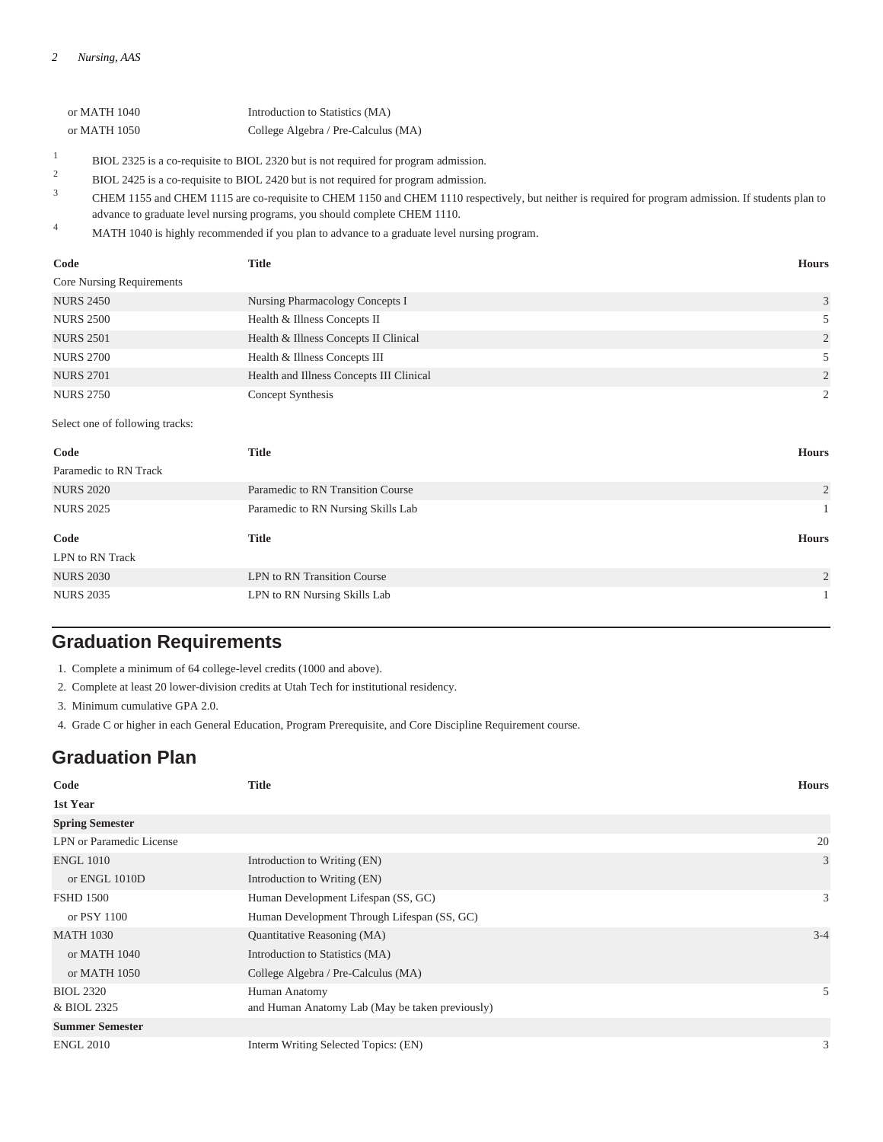| or MATH 1040 | Introduction to Statistics (MA)     |
|--------------|-------------------------------------|
| or MATH 1050 | College Algebra / Pre-Calculus (MA) |
|              |                                     |

1 BIOL 2325 is a co-requisite to BIOL 2320 but is not required for program admission.

2 BIOL 2425 is a co-requisite to BIOL 2420 but is not required for program admission.

- 3 CHEM 1155 and CHEM 1115 are co-requisite to CHEM 1150 and CHEM 1110 respectively, but neither is required for program admission. If students plan to advance to graduate level nursing programs, you should complete CHEM 1110.
- <sup>4</sup> MATH 1040 is highly recommended if you plan to advance to a graduate level nursing program.

| Code                             | <b>Title</b>                             | <b>Hours</b>   |
|----------------------------------|------------------------------------------|----------------|
| <b>Core Nursing Requirements</b> |                                          |                |
| <b>NURS 2450</b>                 | Nursing Pharmacology Concepts I          | 3              |
| <b>NURS 2500</b>                 | Health & Illness Concepts II             |                |
| <b>NURS 2501</b>                 | Health & Illness Concepts II Clinical    | 2              |
| <b>NURS 2700</b>                 | Health & Illness Concepts III            |                |
| <b>NURS 2701</b>                 | Health and Illness Concepts III Clinical | 2              |
| <b>NURS 2750</b>                 | Concept Synthesis                        | $\overline{2}$ |

Select one of following tracks:

| <b>Title</b>                       | <b>Hours</b>   |
|------------------------------------|----------------|
|                                    |                |
| Paramedic to RN Transition Course  | $\overline{c}$ |
| Paramedic to RN Nursing Skills Lab | $\mathbf{1}$   |
|                                    |                |
|                                    | <b>Hours</b>   |
|                                    |                |
|                                    |                |
| LPN to RN Transition Course        | $\overline{2}$ |
|                                    | <b>Title</b>   |

## **Graduation Requirements**

1. Complete a minimum of 64 college-level credits (1000 and above).

2. Complete at least 20 lower-division credits at Utah Tech for institutional residency.

3. Minimum cumulative GPA 2.0.

4. Grade C or higher in each General Education, Program Prerequisite, and Core Discipline Requirement course.

## **Graduation Plan**

| Code                     | <b>Title</b>                                    | <b>Hours</b> |
|--------------------------|-------------------------------------------------|--------------|
| 1st Year                 |                                                 |              |
| <b>Spring Semester</b>   |                                                 |              |
| LPN or Paramedic License |                                                 | 20           |
| <b>ENGL 1010</b>         | Introduction to Writing (EN)                    | 3            |
| or ENGL 1010D            | Introduction to Writing (EN)                    |              |
| <b>FSHD 1500</b>         | Human Development Lifespan (SS, GC)             | 3            |
| or PSY 1100              | Human Development Through Lifespan (SS, GC)     |              |
| <b>MATH 1030</b>         | Quantitative Reasoning (MA)                     | $3 - 4$      |
| or MATH $1040$           | Introduction to Statistics (MA)                 |              |
| or MATH 1050             | College Algebra / Pre-Calculus (MA)             |              |
| <b>BIOL 2320</b>         | Human Anatomy                                   | 5            |
| & BIOL 2325              | and Human Anatomy Lab (May be taken previously) |              |
| <b>Summer Semester</b>   |                                                 |              |
| <b>ENGL 2010</b>         | Interm Writing Selected Topics: (EN)            | 3            |